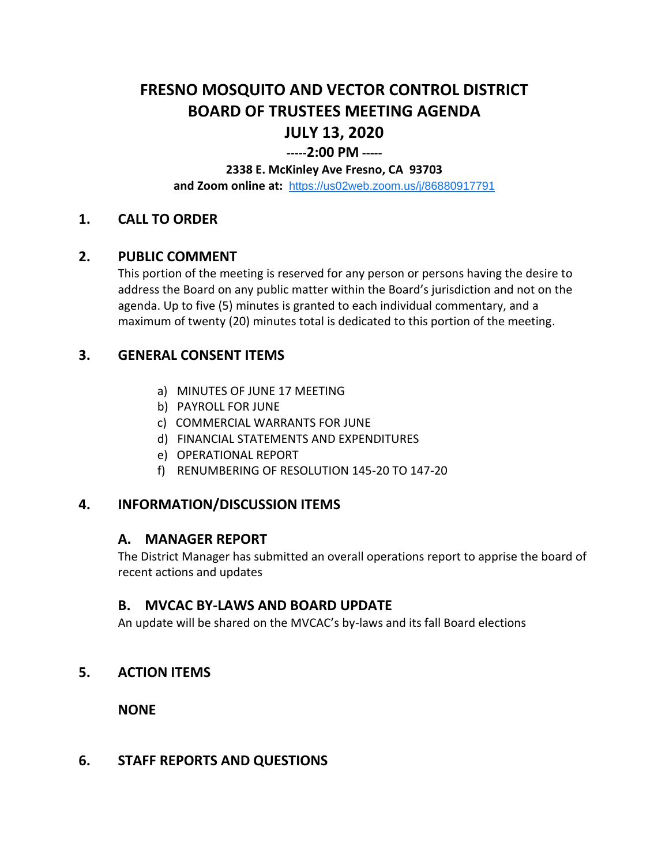# **FRESNO MOSQUITO AND VECTOR CONTROL DISTRICT BOARD OF TRUSTEES MEETING AGENDA JULY 13, 2020**

# **-----2:00 PM -----**

#### **2338 E. McKinley Ave Fresno, CA 93703**

**and Zoom online at:** <https://us02web.zoom.us/j/86880917791>

## **1. CALL TO ORDER**

#### **2. PUBLIC COMMENT**

This portion of the meeting is reserved for any person or persons having the desire to address the Board on any public matter within the Board's jurisdiction and not on the agenda. Up to five (5) minutes is granted to each individual commentary, and a maximum of twenty (20) minutes total is dedicated to this portion of the meeting.

## **3. GENERAL CONSENT ITEMS**

- a) MINUTES OF JUNE 17 MEETING
- b) PAYROLL FOR JUNE
- c) COMMERCIAL WARRANTS FOR JUNE
- d) FINANCIAL STATEMENTS AND EXPENDITURES
- e) OPERATIONAL REPORT
- f) RENUMBERING OF RESOLUTION 145-20 TO 147-20

## **4. INFORMATION/DISCUSSION ITEMS**

#### **A. MANAGER REPORT**

The District Manager has submitted an overall operations report to apprise the board of recent actions and updates

#### **B. MVCAC BY-LAWS AND BOARD UPDATE**

An update will be shared on the MVCAC's by-laws and its fall Board elections

## **5. ACTION ITEMS**

**NONE**

#### **6. STAFF REPORTS AND QUESTIONS**